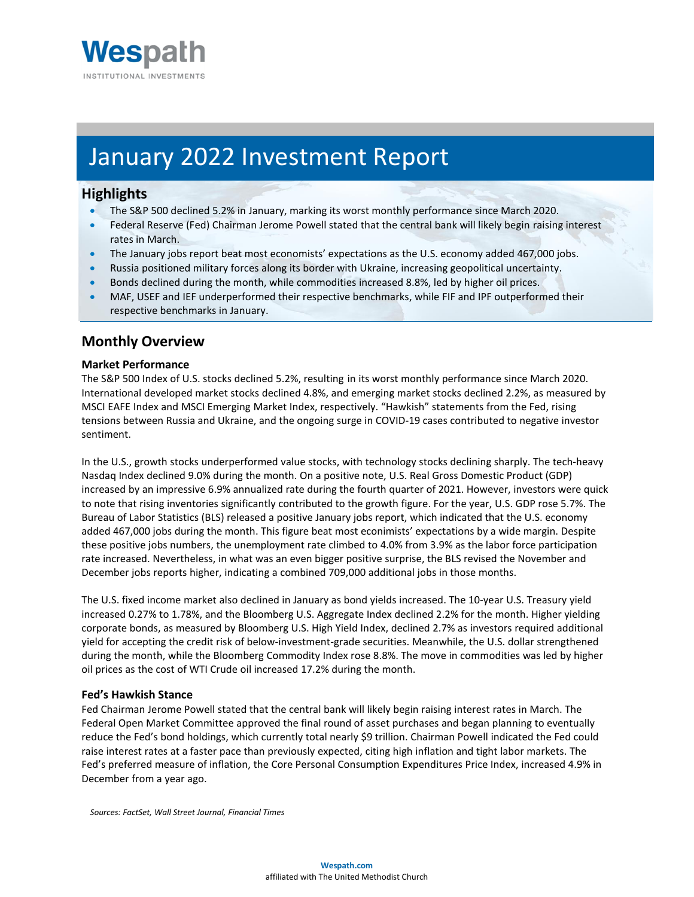

# January 2022 Investment Report

# **Highlights**

- The S&P 500 declined 5.2% in January, marking its worst monthly performance since March 2020.
- Federal Reserve (Fed) Chairman Jerome Powell stated that the central bank will likely begin raising interest rates in March.
- The January jobs report beat most economists' expectations as the U.S. economy added 467,000 jobs.
- Russia positioned military forces along its border with Ukraine, increasing geopolitical uncertainty.
- Bonds declined during the month, while commodities increased 8.8%, led by higher oil prices.
- MAF, USEF and IEF underperformed their respective benchmarks, while FIF and IPF outperformed their respective benchmarks in January.

# **Monthly Overview**

#### **Market Performance**

The S&P 500 Index of U.S. stocks declined 5.2%, resulting in its worst monthly performance since March 2020. International developed market stocks declined 4.8%, and emerging market stocks declined 2.2%, as measured by MSCI EAFE Index and MSCI Emerging Market Index, respectively. "Hawkish" statements from the Fed, rising tensions between Russia and Ukraine, and the ongoing surge in COVID-19 cases contributed to negative investor sentiment.

In the U.S., growth stocks underperformed value stocks, with technology stocks declining sharply. The tech-heavy Nasdaq Index declined 9.0% during the month. On a positive note, U.S. Real Gross Domestic Product (GDP) increased by an impressive 6.9% annualized rate during the fourth quarter of 2021. However, investors were quick to note that rising inventories significantly contributed to the growth figure. For the year, U.S. GDP rose 5.7%. The Bureau of Labor Statistics (BLS) released a positive January jobs report, which indicated that the U.S. economy added 467,000 jobs during the month. This figure beat most econimists' expectations by a wide margin. Despite these positive jobs numbers, the unemployment rate climbed to 4.0% from 3.9% as the labor force participation rate increased. Nevertheless, in what was an even bigger positive surprise, the BLS revised the November and December jobs reports higher, indicating a combined 709,000 additional jobs in those months.

The U.S. fixed income market also declined in January as bond yields increased. The 10-year U.S. Treasury yield increased 0.27% to 1.78%, and the Bloomberg U.S. Aggregate Index declined 2.2% for the month. Higher yielding corporate bonds, as measured by Bloomberg U.S. High Yield Index, declined 2.7% as investors required additional yield for accepting the credit risk of below-investment-grade securities. Meanwhile, the U.S. dollar strengthened during the month, while the Bloomberg Commodity Index rose 8.8%. The move in commodities was led by higher oil prices as the cost of WTI Crude oil increased 17.2% during the month.

#### **Fed's Hawkish Stance**

Fed Chairman Jerome Powell stated that the central bank will likely begin raising interest rates in March. The Federal Open Market Committee approved the final round of asset purchases and began planning to eventually reduce the Fed's bond holdings, which currently total nearly \$9 trillion. Chairman Powell indicated the Fed could raise interest rates at a faster pace than previously expected, citing high inflation and tight labor markets. The Fed's preferred measure of inflation, the Core Personal Consumption Expenditures Price Index, increased 4.9% in December from a year ago.

*Sources: FactSet, Wall Street Journal, Financial Times*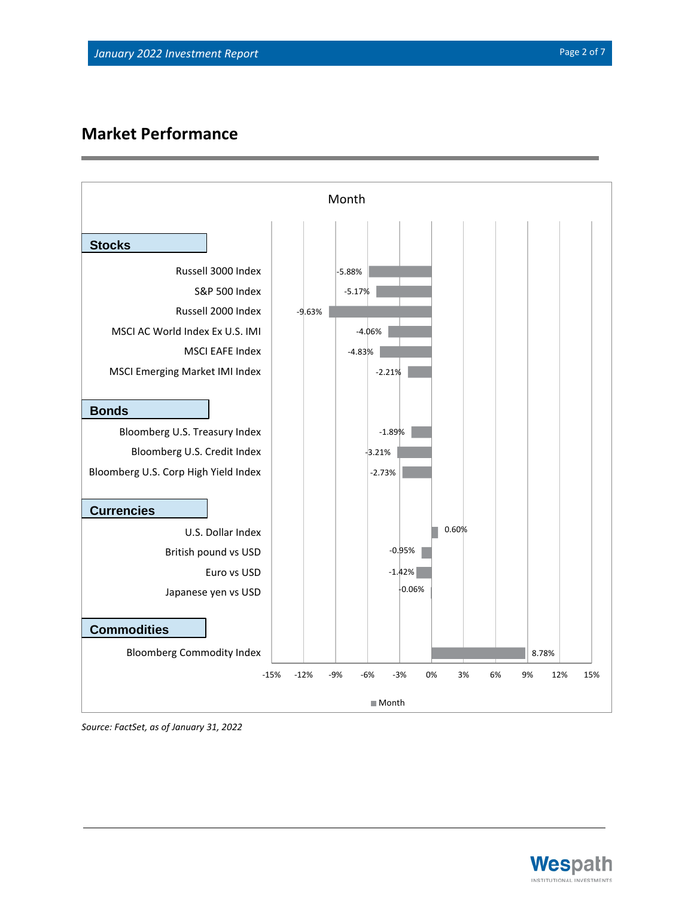# **Market Performance**



*Source: FactSet, as of January 31, 2022*

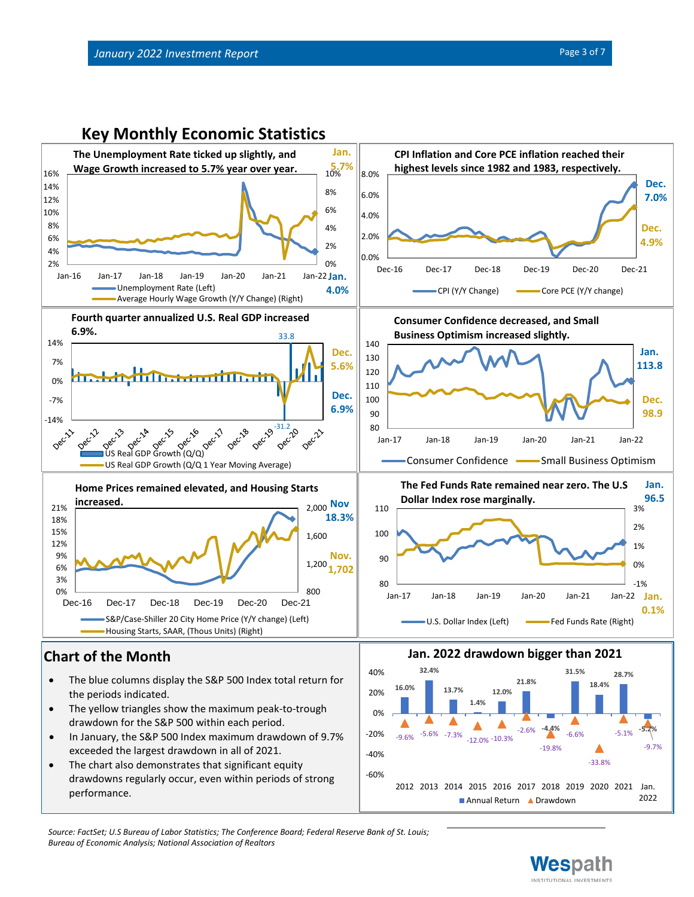

• The chart also demonstrates that significant equity drawdowns regularly occur, even within periods of strong performance.



*Source: FactSet; U.S Bureau of Labor Statistics; The Conference Board; Federal Reserve Bank of St. Louis; Bureau of Economic Analysis; National Association of Realtors*



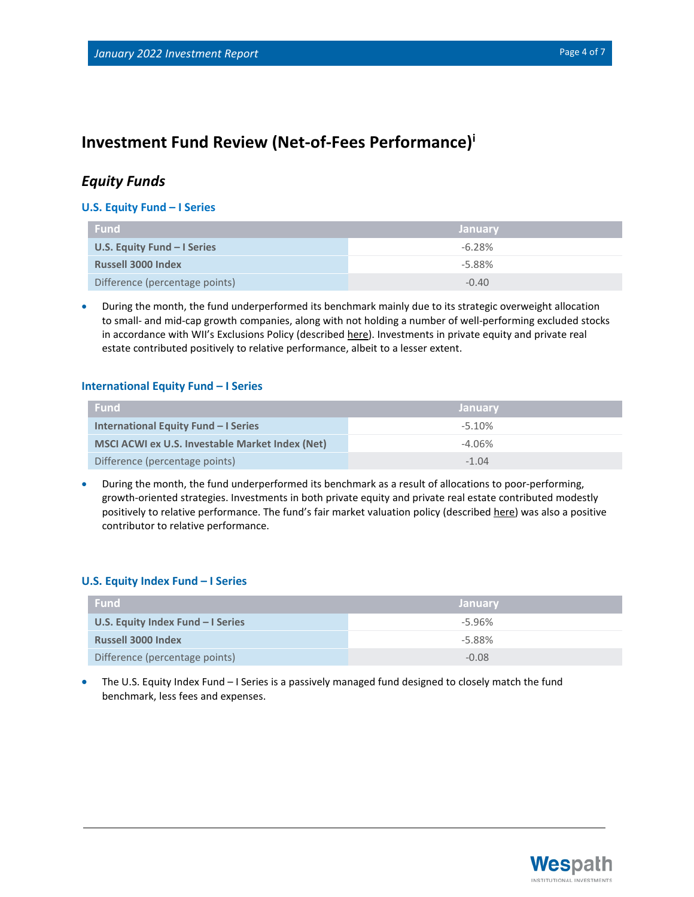# **Investment Fund Review (Net-of-Fees Performance)<sup>i</sup>**

## *Equity Funds*

#### **U.S. Equity Fund – I Series**

| <b>Fund</b>                    | / Januarv |
|--------------------------------|-----------|
| U.S. Equity Fund $-$ I Series  | $-6.28%$  |
| <b>Russell 3000 Index</b>      | $-5.88%$  |
| Difference (percentage points) | $-0.40$   |

• During the month, the fund underperformed its benchmark mainly due to its strategic overweight allocation to small- and mid-cap growth companies, along with not holding a number of well-performing excluded stocks in accordance with WII's Exclusions Policy (described [here\)](https://www.wespath.com/sustainable-investment/investment-exclusions). Investments in private equity and private real estate contributed positively to relative performance, albeit to a lesser extent.

#### **International Equity Fund – I Series**

| <b>Fund</b>                                     | <b>January</b> |
|-------------------------------------------------|----------------|
| International Equity Fund - I Series            | $-5.10%$       |
| MSCI ACWI ex U.S. Investable Market Index (Net) | $-4.06\%$      |
| Difference (percentage points)                  | $-1.04$        |

• During the month, the fund underperformed its benchmark as a result of allocations to poor-performing, growth-oriented strategies. Investments in both private equity and private real estate contributed modestly positively to relative performance. The fund's fair market valuation policy (described [here\)](https://www.wespath.com/fund-performance/IEF-I#fund-detail-tabs-risk) was also a positive contributor to relative performance.

#### **U.S. Equity Index Fund – I Series**

| <b>Fund</b>                       | <b>January</b> |
|-----------------------------------|----------------|
| U.S. Equity Index Fund - I Series | $-5.96%$       |
| <b>Russell 3000 Index</b>         | $-5.88%$       |
| Difference (percentage points)    | $-0.08$        |

• The U.S. Equity Index Fund – I Series is a passively managed fund designed to closely match the fund benchmark, less fees and expenses.

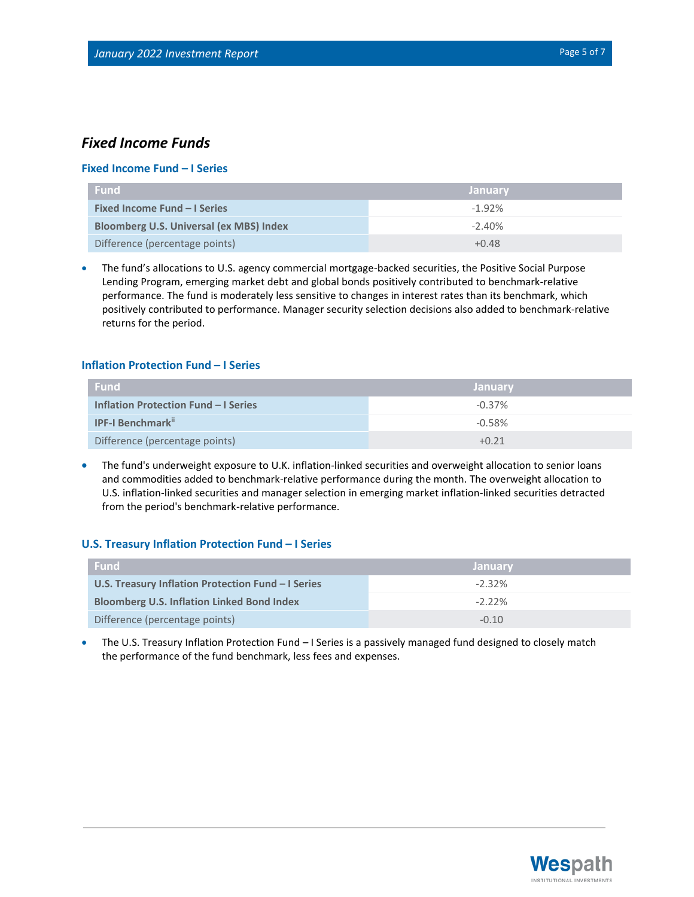### *Fixed Income Funds*

#### **Fixed Income Fund – I Series**

| <b>Fund</b>                                    | <b>January</b> |
|------------------------------------------------|----------------|
| <b>Fixed Income Fund - I Series</b>            | $-1.92%$       |
| <b>Bloomberg U.S. Universal (ex MBS) Index</b> | $-2.40\%$      |
| Difference (percentage points)                 | $+0.48$        |

• The fund's allocations to U.S. agency commercial mortgage-backed securities, the Positive Social Purpose Lending Program, emerging market debt and global bonds positively contributed to benchmark-relative performance. The fund is moderately less sensitive to changes in interest rates than its benchmark, which positively contributed to performance. Manager security selection decisions also added to benchmark-relative returns for the period.

#### **Inflation Protection Fund – I Series**

| <b>Fund</b>                                 | <b>January</b> |
|---------------------------------------------|----------------|
| <b>Inflation Protection Fund - I Series</b> | $-0.37\%$      |
| <b>IPF-I Benchmark</b> "                    | $-0.58%$       |
| Difference (percentage points)              | $+0.21$        |

• The fund's underweight exposure to U.K. inflation-linked securities and overweight allocation to senior loans and commodities added to benchmark-relative performance during the month. The overweight allocation to U.S. inflation-linked securities and manager selection in emerging market inflation-linked securities detracted from the period's benchmark-relative performance.

#### **U.S. Treasury Inflation Protection Fund – I Series**

| <b>Fund</b>                                        | <b>January</b> |
|----------------------------------------------------|----------------|
| U.S. Treasury Inflation Protection Fund - I Series | $-2.32\%$      |
| <b>Bloomberg U.S. Inflation Linked Bond Index</b>  | $-2.22\%$      |
| Difference (percentage points)                     | $-0.10$        |

• The U.S. Treasury Inflation Protection Fund – I Series is a passively managed fund designed to closely match the performance of the fund benchmark, less fees and expenses.

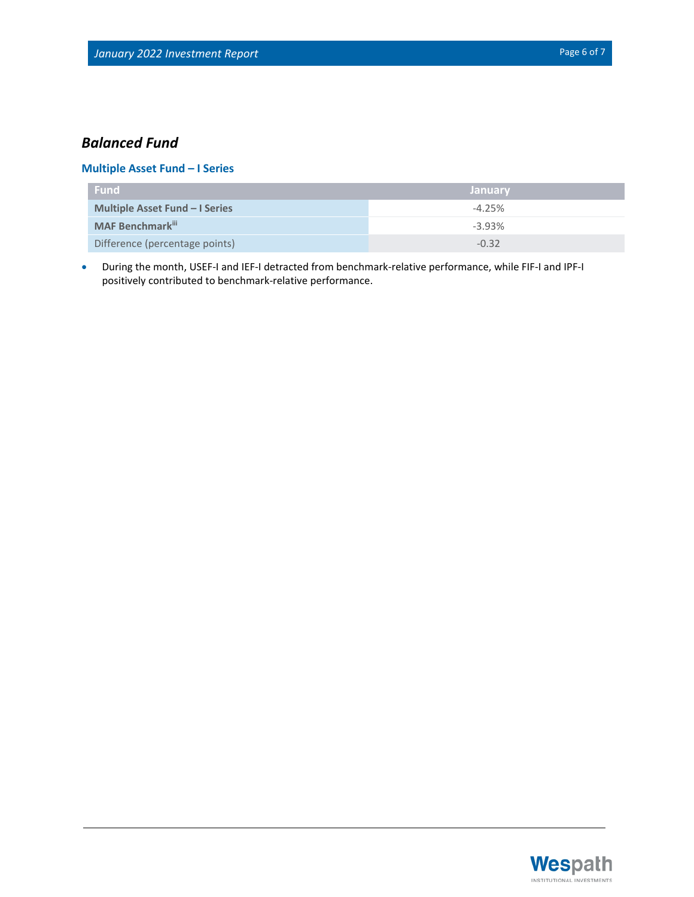# *Balanced Fund*

### **Multiple Asset Fund – I Series**

| <b>Fund</b>                           | <b>January</b> |
|---------------------------------------|----------------|
| <b>Multiple Asset Fund - I Series</b> | $-4.25%$       |
| <b>MAF Benchmark</b> iii              | $-3.93%$       |
| Difference (percentage points)        | $-0.32$        |

• During the month, USEF-I and IEF-I detracted from benchmark-relative performance, while FIF-I and IPF-I positively contributed to benchmark-relative performance.